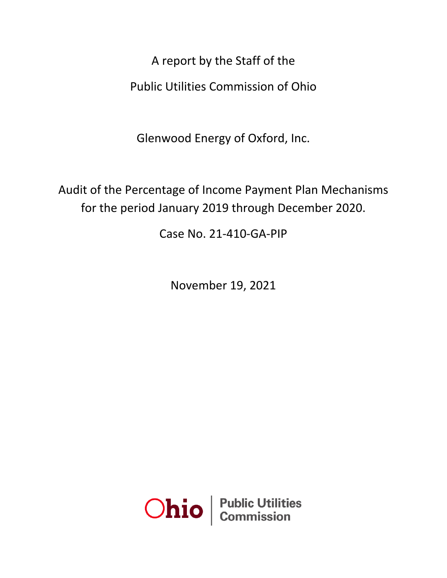A report by the Staff of the Public Utilities Commission of Ohio

Glenwood Energy of Oxford, Inc.

Audit of the Percentage of Income Payment Plan Mechanisms for the period January 2019 through December 2020.

Case No. 21-410-GA-PIP

November 19, 2021

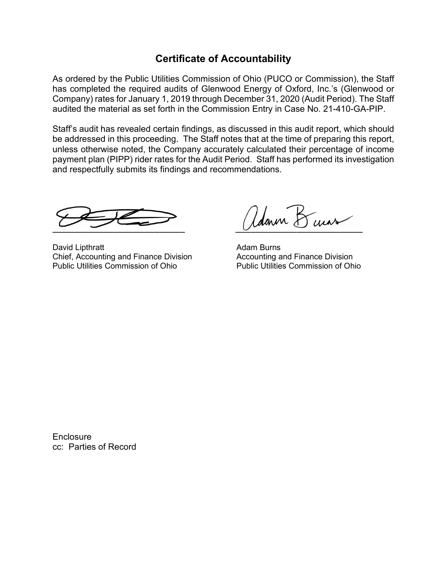# **Certificate of Accountability**

As ordered by the Public Utilities Commission of Ohio (PUCO or Commission), the Staff has completed the required audits of Glenwood Energy of Oxford, Inc.'s (Glenwood or Company) rates for January 1, 2019 through December 31, 2020 (Audit Period). The Staff audited the material as set forth in the Commission Entry in Case No. 21-410-GA-PIP.

Staff's audit has revealed certain findings, as discussed in this audit report, which should be addressed in this proceeding. The Staff notes that at the time of preparing this report, unless otherwise noted, the Company accurately calculated their percentage of income payment plan (PIPP) rider rates for the Audit Period. Staff has performed its investigation and respectfully submits its findings and recommendations.

David Lipthratt **Adam Burns** Controller Adam Burns Chief, Accounting and Finance Division **Accounting and Finance Division**<br>Public Utilities Commission of Ohio **Public Utilities Commission of Ohio** Public Utilities Commission of Ohio

Adarin Kuis

**Enclosure** cc: Parties of Record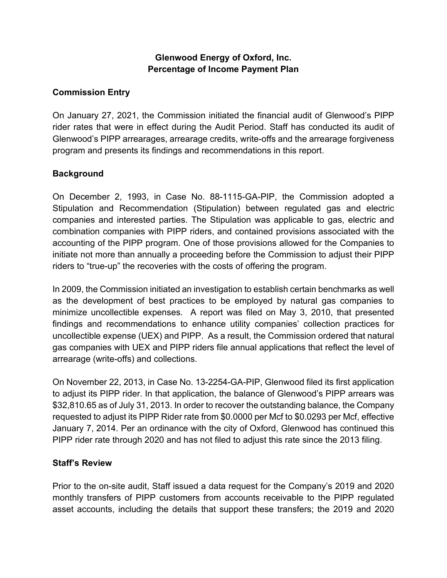## **Glenwood Energy of Oxford, Inc. Percentage of Income Payment Plan**

## **Commission Entry**

On January 27, 2021, the Commission initiated the financial audit of Glenwood's PIPP rider rates that were in effect during the Audit Period. Staff has conducted its audit of Glenwood's PIPP arrearages, arrearage credits, write-offs and the arrearage forgiveness program and presents its findings and recommendations in this report.

## **Background**

On December 2, 1993, in Case No. 88-1115-GA-PIP, the Commission adopted a Stipulation and Recommendation (Stipulation) between regulated gas and electric companies and interested parties. The Stipulation was applicable to gas, electric and combination companies with PIPP riders, and contained provisions associated with the accounting of the PIPP program. One of those provisions allowed for the Companies to initiate not more than annually a proceeding before the Commission to adjust their PIPP riders to "true-up" the recoveries with the costs of offering the program.

In 2009, the Commission initiated an investigation to establish certain benchmarks as well as the development of best practices to be employed by natural gas companies to minimize uncollectible expenses. A report was filed on May 3, 2010, that presented findings and recommendations to enhance utility companies' collection practices for uncollectible expense (UEX) and PIPP. As a result, the Commission ordered that natural gas companies with UEX and PIPP riders file annual applications that reflect the level of arrearage (write-offs) and collections.

On November 22, 2013, in Case No. 13-2254-GA-PIP, Glenwood filed its first application to adjust its PIPP rider. In that application, the balance of Glenwood's PIPP arrears was \$32,810.65 as of July 31, 2013. In order to recover the outstanding balance, the Company requested to adjust its PIPP Rider rate from \$0.0000 per Mcf to \$0.0293 per Mcf, effective January 7, 2014. Per an ordinance with the city of Oxford, Glenwood has continued this PIPP rider rate through 2020 and has not filed to adjust this rate since the 2013 filing.

#### **Staff's Review**

Prior to the on-site audit, Staff issued a data request for the Company's 2019 and 2020 monthly transfers of PIPP customers from accounts receivable to the PIPP regulated asset accounts, including the details that support these transfers; the 2019 and 2020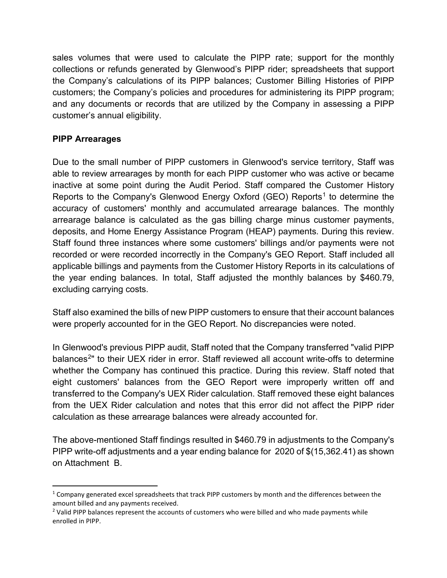sales volumes that were used to calculate the PIPP rate; support for the monthly collections or refunds generated by Glenwood's PIPP rider; spreadsheets that support the Company's calculations of its PIPP balances; Customer Billing Histories of PIPP customers; the Company's policies and procedures for administering its PIPP program; and any documents or records that are utilized by the Company in assessing a PIPP customer's annual eligibility.

## **PIPP Arrearages**

Due to the small number of PIPP customers in Glenwood's service territory, Staff was able to review arrearages by month for each PIPP customer who was active or became inactive at some point during the Audit Period. Staff compared the Customer History Reports to the Company's Glenwood Energy Oxford (GEO) Reports<sup>[1](#page-3-0)</sup> to determine the accuracy of customers' monthly and accumulated arrearage balances. The monthly arrearage balance is calculated as the gas billing charge minus customer payments, deposits, and Home Energy Assistance Program (HEAP) payments. During this review. Staff found three instances where some customers' billings and/or payments were not recorded or were recorded incorrectly in the Company's GEO Report. Staff included all applicable billings and payments from the Customer History Reports in its calculations of the year ending balances. In total, Staff adjusted the monthly balances by \$460.79, excluding carrying costs.

Staff also examined the bills of new PIPP customers to ensure that their account balances were properly accounted for in the GEO Report. No discrepancies were noted.

In Glenwood's previous PIPP audit, Staff noted that the Company transferred "valid PIPP balances<sup>[2](#page-3-1)</sup>" to their UEX rider in error. Staff reviewed all account write-offs to determine whether the Company has continued this practice. During this review. Staff noted that eight customers' balances from the GEO Report were improperly written off and transferred to the Company's UEX Rider calculation. Staff removed these eight balances from the UEX Rider calculation and notes that this error did not affect the PIPP rider calculation as these arrearage balances were already accounted for.

The above-mentioned Staff findings resulted in \$460.79 in adjustments to the Company's PIPP write-off adjustments and a year ending balance for 2020 of \$(15,362.41) as shown on Attachment B.

<span id="page-3-0"></span> $1$  Company generated excel spreadsheets that track PIPP customers by month and the differences between the amount billed and any payments received.<br><sup>2</sup> Valid PIPP balances represent the accounts of customers who were billed and who made payments while

<span id="page-3-1"></span>enrolled in PIPP.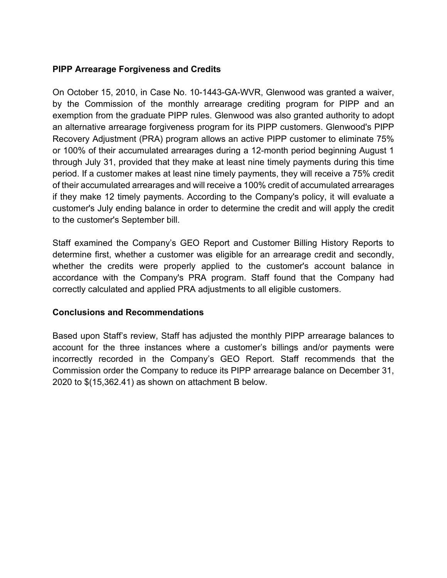## **PIPP Arrearage Forgiveness and Credits**

On October 15, 2010, in Case No. 10-1443-GA-WVR, Glenwood was granted a waiver, by the Commission of the monthly arrearage crediting program for PIPP and an exemption from the graduate PIPP rules. Glenwood was also granted authority to adopt an alternative arrearage forgiveness program for its PIPP customers. Glenwood's PIPP Recovery Adjustment (PRA) program allows an active PIPP customer to eliminate 75% or 100% of their accumulated arrearages during a 12-month period beginning August 1 through July 31, provided that they make at least nine timely payments during this time period. If a customer makes at least nine timely payments, they will receive a 75% credit of their accumulated arrearages and will receive a 100% credit of accumulated arrearages if they make 12 timely payments. According to the Company's policy, it will evaluate a customer's July ending balance in order to determine the credit and will apply the credit to the customer's September bill.

Staff examined the Company's GEO Report and Customer Billing History Reports to determine first, whether a customer was eligible for an arrearage credit and secondly, whether the credits were properly applied to the customer's account balance in accordance with the Company's PRA program. Staff found that the Company had correctly calculated and applied PRA adjustments to all eligible customers.

#### **Conclusions and Recommendations**

Based upon Staff's review, Staff has adjusted the monthly PIPP arrearage balances to account for the three instances where a customer's billings and/or payments were incorrectly recorded in the Company's GEO Report. Staff recommends that the Commission order the Company to reduce its PIPP arrearage balance on December 31, 2020 to \$(15,362.41) as shown on attachment B below.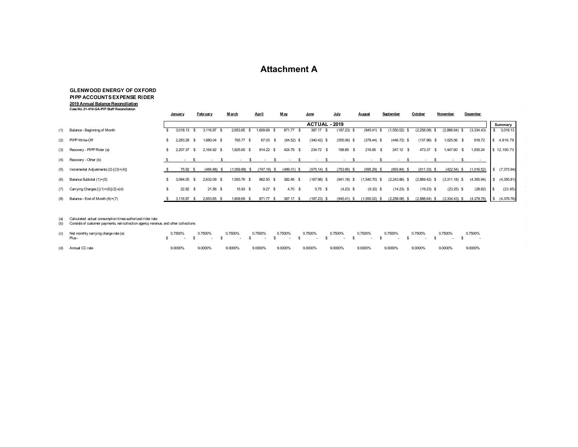### **Attachment A**

#### **GLENWOOD ENERGY OF OXFORD PIPP ACCOUNTS EXPENSE RIDER 2019 Annual Balance Reconciliation Case No. 21-410-GA-PIP Staff Reconcilation**

|     |                                       |    | <b>January</b>           |      | February      |          | <b>March</b>       | <b>April</b> |                   | M ay |                | June          | July           | <b>August</b>   | September                | October         | November            | December   |      |             |
|-----|---------------------------------------|----|--------------------------|------|---------------|----------|--------------------|--------------|-------------------|------|----------------|---------------|----------------|-----------------|--------------------------|-----------------|---------------------|------------|------|-------------|
|     |                                       |    |                          |      |               |          |                    |              |                   |      |                | ACTUAL - 2019 |                |                 |                          |                 |                     |            |      | Summary     |
| (1) | Balance - Beginning of Month          |    | 3.018.13                 | - \$ | 3,116.97      | <b>S</b> | 2,653.65<br>- \$   |              | ,609.69<br>- \$   |      | 871.77<br>-S   | 387.17<br>-S  | (187.23)<br>-S | $(945.41)$ \$   | (1,550.02)               | (2,258.08)      | $(2,888.64)$ \$     | (3,334.43) |      | 3,018.13    |
|     | (2) PIPP Write-Off                    | s. | 2,283.29                 | - \$ | 1,680.04 \$   |          | 765.77<br>- \$     |              | 67.03<br><b>S</b> |      | $(64.52)$ \$   | $(340.42)$ \$ | $(555.06)$ \$  | $(378.44)$ \$   | $(446.72)$ \$            | (137.96)        | 1,025.06 \$<br>- \$ | 918.72     | -SS  | 4,816.79    |
|     | (3) Recovery - PIPP Rider (a)         |    | 2,207.37                 | -SS  | 2,164.92 \$   |          | 1,825.65<br>- \$   |              | 814.22 \$         |      | 424.79<br>- \$ | 234.72 \$     | 198.89<br>- \$ | 216.85 \$       | 247.12 \$                | 473.37          | 1,447.60            | .935.24    |      | \$12,190.73 |
|     | (4) Recovery - Other (b)              |    | $\overline{\phantom{a}}$ |      |               |          |                    |              |                   |      |                |               |                |                 | $\overline{\phantom{0}}$ |                 |                     |            |      |             |
| (5) | Incremental Adjustments (2)-[(3)+(4)] |    | 75.92 \$                 |      | $(484.88)$ \$ |          | (1.059.88)<br>- 35 |              | (747.19)<br>- \$  |      | $(489.31)$ \$  | $(575.14)$ \$ | $(753.95)$ \$  | $(595.29)$ \$   | $(693.84)$ \$            | $(611.33)$ \$   | $(422.54)$ \$       | (1,016.52) |      | (7,373.94)  |
| (6) | Balance Subtotal (1)+(5)              |    | 3.094.05 \$              |      | 2.632.09 \$   |          | 1,593.76 \$        |              | 862.50<br>- \$    |      | 382.46 \$      | $(187.98)$ \$ | $(941.18)$ \$  | $(1,540.70)$ \$ | $(2,243.86)$ \$          | $(2,869.42)$ \$ | $(3,311.18)$ \$     | (4,350.94) |      | (4,355.81)  |
| (7) | Carrying Charges { [(1)+(6)]/2} x(d)  |    | $22.92$ \$               |      | $21.56$ \$    |          | 15.93 \$           |              | $9.27$ \$         |      | 4.70 $$$       | $0.75$ \$     | $(4.23)$ \$    | $(9.32)$ \$     | $(14.23)$ \$             | $(19.23)$ \$    | $(23.25)$ \$        | (28.82)    | l S  | (23.95)     |
| (8) | Balance - End of Month (6)+(7)        |    | 3,116.97                 | - \$ | 2,653.65 \$   |          | 1,609.69<br>- \$   |              | 871.77<br>- \$    |      | 387.17<br>- \$ | $(187.23)$ \$ | (945.41)       | $(1,550.02)$ \$ | $(2,258.08)$ \$          | (2,888.64)      | $(3,334.43)$ \$     | (4,379.76) | - \$ | (4,379.76)  |

(a) Calculated: actual consumption times authorized rider rate (b) Consists of customer payments, net-collection agency revenue, and other collections

| (c) Net monthly carrying charge rate (e)<br>Plus- | 0.7500% | 0.7500% | 0.7500% | 0.7500% | 0.7500% | 0.7500%<br>$S$ and $S$ and $S$ and $S$ and $S$ and $S$ and $S$ and $S$ and $S$ and $S$ and $S$ and $S$ and $S$ and $S$ and $S$ and $S$ and $S$ and $S$ and $S$ and $S$ and $S$ and $S$ and $S$ and $S$ and $S$ and $S$ and $S$ and $S$ a | 0.7500% | 0.7500% | 0.7500% |  | 0.7500% | 0.7500% |  | 0.7500% |
|---------------------------------------------------|---------|---------|---------|---------|---------|------------------------------------------------------------------------------------------------------------------------------------------------------------------------------------------------------------------------------------------|---------|---------|---------|--|---------|---------|--|---------|
| (d) Annual CC rate                                | 9.0000% | 9.0000% | 9.0000% | 9.0000% | 9.0000% | 9.0000%                                                                                                                                                                                                                                  | 9.0000% | 9.0000% | 9.0000% |  | 9.0000% | 9.0000% |  | 9.0000% |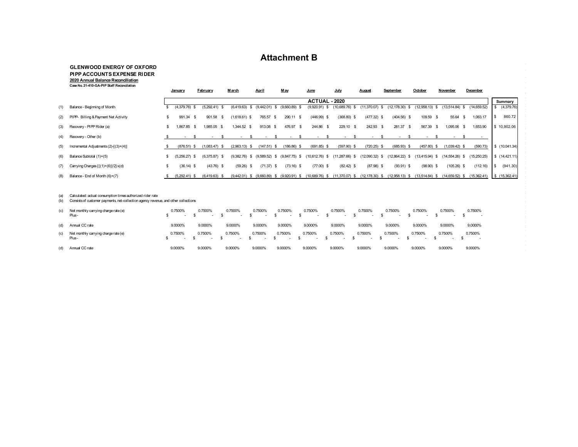## **Attachment B**

#### **GLENWOOD ENERGY OF OXFORD PIPP ACCOUNTS EXPENSE RIDER 2020 Annual Balance Reconciliation Case No. 21-410-GA-PIP Staff Reconcilation**

|     |                                       |     | January         | February        | March                    |             | April           |      | M av            |      | June             | July              | August             | September          | October                  | November            |                 | December     |                |
|-----|---------------------------------------|-----|-----------------|-----------------|--------------------------|-------------|-----------------|------|-----------------|------|------------------|-------------------|--------------------|--------------------|--------------------------|---------------------|-----------------|--------------|----------------|
|     |                                       |     |                 |                 |                          |             |                 |      |                 |      | ACTUAL - 2020    |                   |                    |                    |                          |                     |                 |              | Summary        |
| (1) | Balance - Beginning of Month          |     | $(4,379.76)$ \$ | $(5,292.41)$ \$ | (6,419.63)               | -S          | $(9,442.01)$ \$ |      | (9,660.89)      |      | (9,920.91) \$    | $(10,689.76)$ \$  | (11,370.07)<br>-S  | (12, 178.30)<br>৬. | (12,958.13)              |                     | 13,514.84)      | (14,659.52)  | \$ (4,379.76)  |
| (2) | PIPP- Billing & Payment Net Activity  | \$. | 991.34 \$       | 901.58<br>- \$  | $(1,618.61)$ \$          |             | 765.57          | - \$ | 290.11          | -S   | $(446.99)$ \$    | $(368.80)$ \$     | $(477.32)$ \$      | $(404.56)$ \$      | 109.59                   | - \$                | 55.64<br>- S    | 1,063.17     | 860.72         |
|     | (3) Recovery - PIPP Rider (a)         | \$. | 1,867.85 \$     | 1,985.05 \$     |                          | 1,344.52 \$ | 913.08 \$       |      | 476.97          | - \$ | 244.86 \$        | 229.10 \$         | 242.93 \$          | 281.37 \$          | 567.39                   | -S                  | 1,095.06        | 1,653.90     | \$10,902.06    |
|     | (4) Recovery - Other (b)              |     | $\sim$          |                 | $\overline{\phantom{a}}$ |             |                 |      |                 |      |                  |                   |                    |                    | $\overline{\phantom{a}}$ |                     |                 |              |                |
| (5) | Incremental Adjustments (2)-[(3)+(4)] |     | $(876.51)$ \$   | $(1,083.47)$ \$ | (2,963.13)               |             | (147.51)        | -S   | $(186.86)$ \$   |      | $(691.85)$ \$    | $(597.90)$ \$     | $(720.25)$ \$      | $(685.93)$ \$      | (457.80)<br>- \$         |                     | $(1,039.42)$ \$ | (590.73)     | \$ (10,041.34) |
| (6) | Balance Subtotal (1)+(5)              |     | $(5,256.27)$ \$ | $(6,375.87)$ \$ | (9,382.76)               | s.          | $(9,589.52)$ \$ |      | $(9,847.75)$ \$ |      | $10,612.76$ ) \$ | (11.287.66)<br>-S | $(12,090.32)$ \$   | (12,864.22)<br>S.  | (13.415.94)              | (14, 554.26)<br>- S |                 | (15,250.25)  | \$(14,421.11)  |
| (7) | Carrying Charges { [(1)+(6)]/2} x(d)  | \$  | $(36.14)$ \$    | $(43.76)$ \$    | (59.26)                  | - \$        | $(71.37)$ \$    |      | $(73.16)$ \$    |      | $(77.00)$ \$     | $(82.42)$ \$      | $(87.98)$ \$       | $(93.91)$ \$       | (98.90)<br>- \$          |                     | $(105.26)$ \$   | (112.16)     | (941.30)       |
| (8) | Balance - End of Month (6)+(7)        |     | (5,292.41) \$   | $(6,419.63)$ \$ | $(9,442.01)$ \$          |             | (9,660.89)      | -S   | (9,920.91)      | -S   | 10,689.76) \$    | $(11,370.07)$ \$  | (12, 178.30)<br>s. | (12,958.13)<br>-S  | (13,514.84)              |                     | (14,659.52)     | (15, 362.41) | \$(15,362.41)  |

#### (a) Calculated: actual consumption times authorized rider rate

)<br>(b) Consists of customer payments, net-collection agency reverue, and other collections

| (c) | Net monthly carrying charge rate (e)<br>Plus- | 0.7500%           | 0.7500% | 0.7500%<br>$\overline{\phantom{a}}$ | 0.7500%<br>$\sim$ | 0.7500%<br>$\overline{\phantom{a}}$ | 0.7500%<br>$\sim$                   | 0.7500%<br>$\sim$ | 0.7500%<br>$\overline{\phantom{a}}$ | 0.7500%<br>$\overline{\phantom{a}}$ | 0.7500%<br>$\sim$                   | 0.7500%<br>$-$ | 0.7500% |
|-----|-----------------------------------------------|-------------------|---------|-------------------------------------|-------------------|-------------------------------------|-------------------------------------|-------------------|-------------------------------------|-------------------------------------|-------------------------------------|----------------|---------|
| (d) | Annual CC rate                                | 9.0000%           | 9.0000% | 9.0000%                             | 9.0000%           | 9.0000%                             | 9.0000%                             | 9.0000%           | 9.0000%                             | 9.0000%                             | 9.0000%                             | 9.0000%        | 9.0000% |
| (c) | Net monthly carrying charge rate (e)<br>Plus- | 0.7500%<br>$\sim$ | 0.7500% | 0.7500%                             | 0.7500%<br>$\sim$ | 0.7500%<br>$\overline{\phantom{a}}$ | 0.7500%<br>$\overline{\phantom{a}}$ | 0.7500%           | 0.7500%                             | 0.7500%<br>$\overline{\phantom{a}}$ | 0.7500%<br>$\overline{\phantom{a}}$ | 0.7500%        | 0.7500% |
| (d) | Annual CC rate                                | 9.0000%           | 9.0000% | 9.0000%                             | 9.0000%           | 9.0000%                             | 9.0000%                             | 9.0000%           | 9.0000%                             | 9.0000%                             | 9.0000%                             | 9.0000%        | 9.0000% |